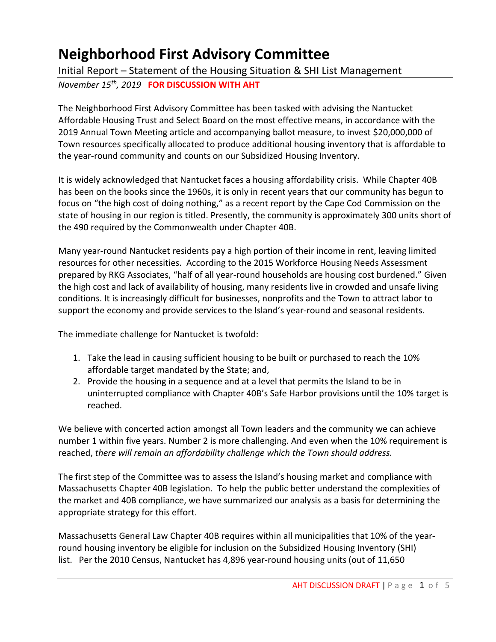## **Neighborhood First Advisory Committee**

Initial Report – Statement of the Housing Situation & SHI List Management

*November 15th , 2019* **FOR DISCUSSION WITH AHT**

The Neighborhood First Advisory Committee has been tasked with advising the Nantucket Affordable Housing Trust and Select Board on the most effective means, in accordance with the 2019 Annual Town Meeting article and accompanying ballot measure, to invest \$20,000,000 of Town resources specifically allocated to produce additional housing inventory that is affordable to the year-round community and counts on our Subsidized Housing Inventory.

It is widely acknowledged that Nantucket faces a housing affordability crisis. While Chapter 40B has been on the books since the 1960s, it is only in recent years that our community has begun to focus on "the high cost of doing nothing," as a recent report by the Cape Cod Commission on the state of housing in our region is titled. Presently, the community is approximately 300 units short of the 490 required by the Commonwealth under Chapter 40B.

Many year-round Nantucket residents pay a high portion of their income in rent, leaving limited resources for other necessities. According to the 2015 Workforce Housing Needs Assessment prepared by RKG Associates, "half of all year-round households are housing cost burdened." Given the high cost and lack of availability of housing, many residents live in crowded and unsafe living conditions. It is increasingly difficult for businesses, nonprofits and the Town to attract labor to support the economy and provide services to the Island's year-round and seasonal residents.

The immediate challenge for Nantucket is twofold:

- 1. Take the lead in causing sufficient housing to be built or purchased to reach the 10% affordable target mandated by the State; and,
- 2. Provide the housing in a sequence and at a level that permits the Island to be in uninterrupted compliance with Chapter 40B's Safe Harbor provisions until the 10% target is reached.

We believe with concerted action amongst all Town leaders and the community we can achieve number 1 within five years. Number 2 is more challenging. And even when the 10% requirement is reached, *there will remain an affordability challenge which the Town should address.*

The first step of the Committee was to assess the Island's housing market and compliance with Massachusetts Chapter 40B legislation. To help the public better understand the complexities of the market and 40B compliance, we have summarized our analysis as a basis for determining the appropriate strategy for this effort.

Massachusetts General Law Chapter 40B requires within all municipalities that 10% of the yearround housing inventory be eligible for inclusion on the Subsidized Housing Inventory (SHI) list. Per the 2010 Census, Nantucket has 4,896 year-round housing units (out of 11,650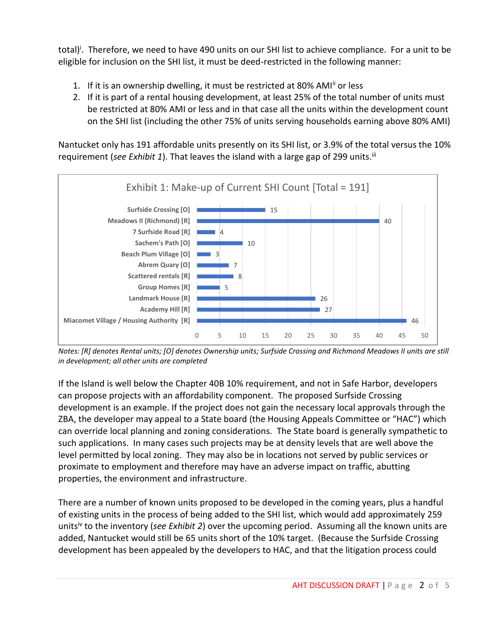total)<sup>i</sup>. Therefore, we need to have 490 units on our SHI list to achieve compliance. For a unit to be eligible for inclusion on the SHI list, it must be deed-restricted in the following manner:

- 1. If it is an ownership dwelling, it must be restricted at 80% AMI<sup>II</sup> or less
- 2. If it is part of a rental housing development, at least 25% of the total number of units must be restricted at 80% AMI or less and in that case all the units within the development count on the SHI list (including the other 75% of units serving households earning above 80% AMI)

Nantucket only has 191 affordable units presently on its SHI list, or 3.9% of the total versus the 10% requirement (see Exhibit 1). That leaves the island with a large gap of 299 units.<sup>iii</sup>



*Notes: [R] denotes Rental units; [O] denotes Ownership units; Surfside Crossing and Richmond Meadows II units are still in development; all other units are completed*

If the Island is well below the Chapter 40B 10% requirement, and not in Safe Harbor, developers can propose projects with an affordability component. The proposed Surfside Crossing development is an example. If the project does not gain the necessary local approvals through the ZBA, the developer may appeal to a State board (the Housing Appeals Committee or "HAC") which can override local planning and zoning considerations. The State board is generally sympathetic to such applications. In many cases such projects may be at density levels that are well above the level permitted by local zoning. They may also be in locations not served by public services or proximate to employment and therefore may have an adverse impact on traffic, abutting properties, the environment and infrastructure.

There are a number of known units proposed to be developed in the coming years, plus a handful of existing units in the process of being added to the SHI list, which would add approximately 259 unitsiv to the inventory (*see Exhibit 2*) over the upcoming period. Assuming all the known units are added, Nantucket would still be 65 units short of the 10% target. (Because the Surfside Crossing development has been appealed by the developers to HAC, and that the litigation process could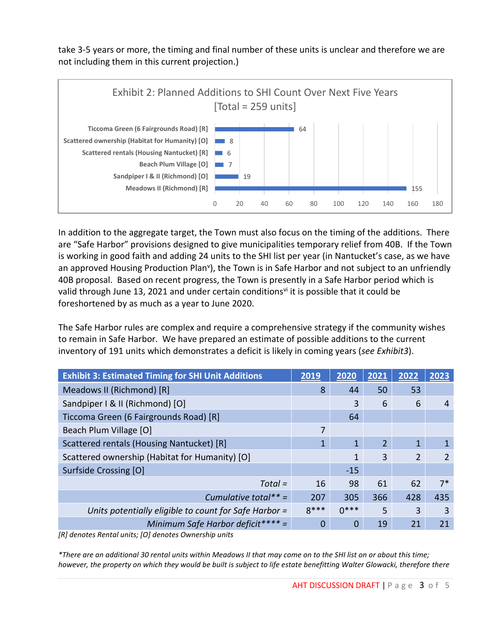take 3-5 years or more, the timing and final number of these units is unclear and therefore we are not including them in this current projection.)



In addition to the aggregate target, the Town must also focus on the timing of the additions. There are "Safe Harbor" provisions designed to give municipalities temporary relief from 40B. If the Town is working in good faith and adding 24 units to the SHI list per year (in Nantucket's case, as we have an approved Housing Production Plan<sup>v</sup>), the Town is in Safe Harbor and not subject to an unfriendly 40B proposal. Based on recent progress, the Town is presently in a Safe Harbor period which is valid through June 13, 2021 and under certain conditions<sup>vi</sup> it is possible that it could be foreshortened by as much as a year to June 2020.

The Safe Harbor rules are complex and require a comprehensive strategy if the community wishes to remain in Safe Harbor. We have prepared an estimate of possible additions to the current inventory of 191 units which demonstrates a deficit is likely in coming years (*see Exhibit3*).

| 2020         | 2021           | 2022           | 2023           |
|--------------|----------------|----------------|----------------|
| 44           | 50             | 53             |                |
| 3            | 6              | 6              | 4              |
| 64           |                |                |                |
|              |                |                |                |
| $\mathbf{1}$ | $\overline{2}$ | $\mathbf{1}$   | 1              |
| 1            | 3              | $\overline{2}$ | $\overline{2}$ |
| $-15$        |                |                |                |
| 98           | 61             | 62             | $7*$           |
| 305          | 366            | 428            | 435            |
| $0***$       | 5              | 3              | 3              |
| $\mathbf 0$  | 19             | 21             | 21             |
|              |                |                |                |

*[R] denotes Rental units; [O] denotes Ownership units*

*\*There are an additional 30 rental units within Meadows II that may come on to the SHI list on or about this time; however, the property on which they would be built is subject to life estate benefitting Walter Glowacki, therefore there*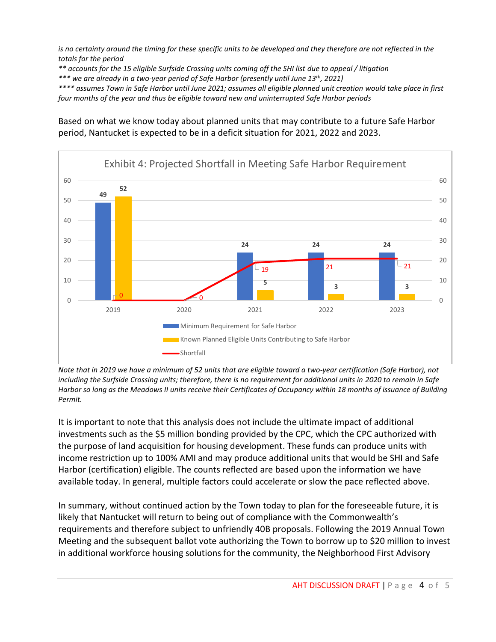*is no certainty around the timing for these specific units to be developed and they therefore are not reflected in the totals for the period*

*\*\* accounts for the 15 eligible Surfside Crossing units coming off the SHI list due to appeal / litigation*

*\*\*\* we are already in a two-year period of Safe Harbor (presently until June 13th, 2021)*

*\*\*\*\* assumes Town in Safe Harbor until June 2021; assumes all eligible planned unit creation would take place in first four months of the year and thus be eligible toward new and uninterrupted Safe Harbor periods*

Based on what we know today about planned units that may contribute to a future Safe Harbor period, Nantucket is expected to be in a deficit situation for 2021, 2022 and 2023.



*Note that in 2019 we have a minimum of 52 units that are eligible toward a two-year certification (Safe Harbor), not including the Surfside Crossing units; therefore, there is no requirement for additional units in 2020 to remain in Safe Harbor so long as the Meadows II units receive their Certificates of Occupancy within 18 months of issuance of Building Permit.*

It is important to note that this analysis does not include the ultimate impact of additional investments such as the \$5 million bonding provided by the CPC, which the CPC authorized with the purpose of land acquisition for housing development. These funds can produce units with income restriction up to 100% AMI and may produce additional units that would be SHI and Safe Harbor (certification) eligible. The counts reflected are based upon the information we have available today. In general, multiple factors could accelerate or slow the pace reflected above.

In summary, without continued action by the Town today to plan for the foreseeable future, it is likely that Nantucket will return to being out of compliance with the Commonwealth's requirements and therefore subject to unfriendly 40B proposals. Following the 2019 Annual Town Meeting and the subsequent ballot vote authorizing the Town to borrow up to \$20 million to invest in additional workforce housing solutions for the community, the Neighborhood First Advisory